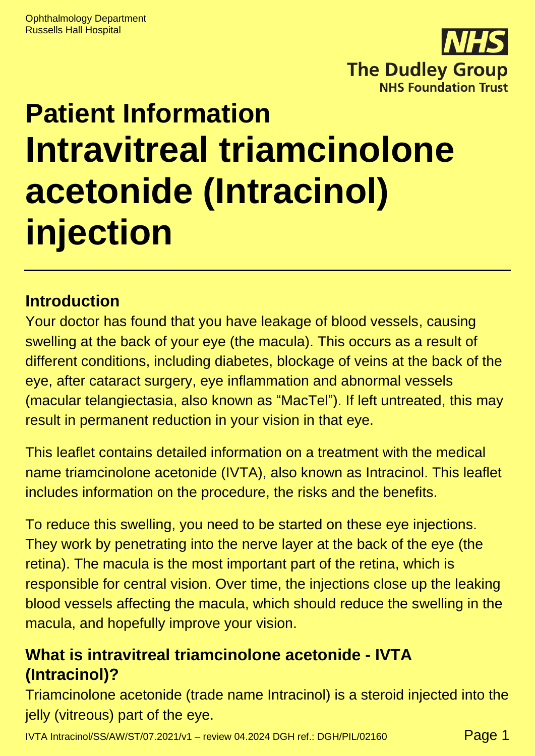

# **Patient Information Intravitreal triamcinolone acetonide (Intracinol) injection**

#### **Introduction**

Your doctor has found that you have leakage of blood vessels, causing swelling at the back of your eye (the macula). This occurs as a result of different conditions, including diabetes, blockage of veins at the back of the eye, after cataract surgery, eye inflammation and abnormal vessels (macular telangiectasia, also known as "MacTel"). If left untreated, this may result in permanent reduction in your vision in that eye.

This leaflet contains detailed information on a treatment with the medical name triamcinolone acetonide (IVTA), also known as Intracinol. This leaflet includes information on the procedure, the risks and the benefits.

To reduce this swelling, you need to be started on these eye injections. They work by penetrating into the nerve layer at the back of the eye (the retina). The macula is the most important part of the retina, which is responsible for central vision. Over time, the injections close up the leaking blood vessels affecting the macula, which should reduce the swelling in the macula, and hopefully improve your vision.

#### **What is intravitreal triamcinolone acetonide - IVTA (Intracinol)?**

Triamcinolone acetonide (trade name Intracinol) is a steroid injected into the jelly (vitreous) part of the eye.

IVTA Intracinol/SS/AW/ST/07.2021/v1 – review 04.2024 DGH ref.: DGH/PIL/02160 Page 1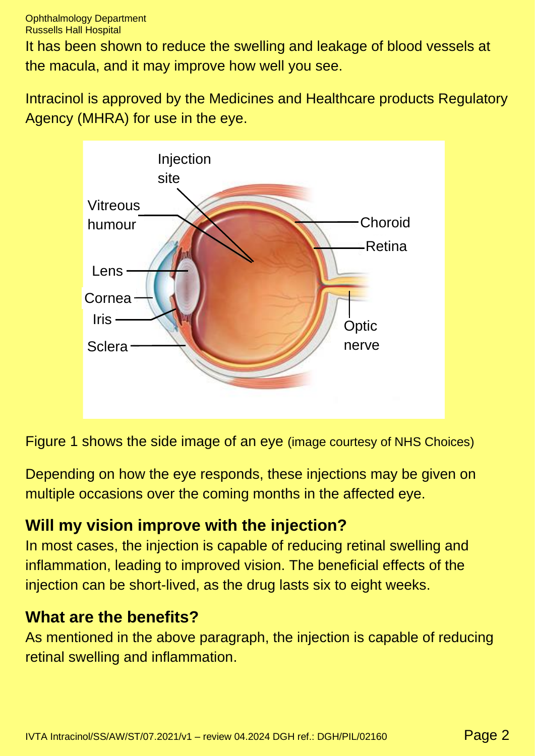It has been shown to reduce the swelling and leakage of blood vessels at the macula, and it may improve how well you see.

Intracinol is approved by the Medicines and Healthcare products Regulatory Agency (MHRA) for use in the eye.



Figure 1 shows the side image of an eye (image courtesy of NHS Choices)

Depending on how the eye responds, these injections may be given on multiple occasions over the coming months in the affected eye.

#### **Will my vision improve with the injection?**

In most cases, the injection is capable of reducing retinal swelling and inflammation, leading to improved vision. The beneficial effects of the injection can be short-lived, as the drug lasts six to eight weeks.

#### **What are the benefits?**

As mentioned in the above paragraph, the injection is capable of reducing retinal swelling and inflammation.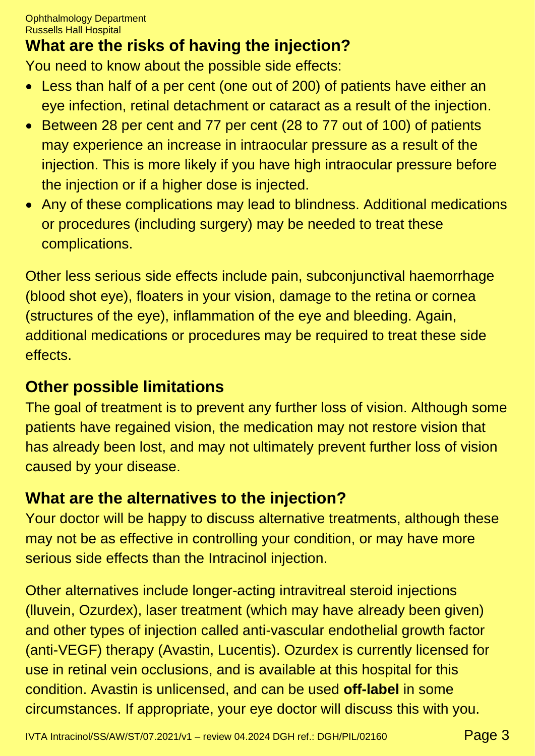## **What are the risks of having the injection?**

You need to know about the possible side effects:

- Less than half of a per cent (one out of 200) of patients have either an eye infection, retinal detachment or cataract as a result of the injection.
- Between 28 per cent and 77 per cent (28 to 77 out of 100) of patients may experience an increase in intraocular pressure as a result of the injection. This is more likely if you have high intraocular pressure before the injection or if a higher dose is injected.
- Any of these complications may lead to blindness. Additional medications or procedures (including surgery) may be needed to treat these complications.

Other less serious side effects include pain, subconjunctival haemorrhage (blood shot eye), floaters in your vision, damage to the retina or cornea (structures of the eye), inflammation of the eye and bleeding. Again, additional medications or procedures may be required to treat these side effects.

## **Other possible limitations**

The goal of treatment is to prevent any further loss of vision. Although some patients have regained vision, the medication may not restore vision that has already been lost, and may not ultimately prevent further loss of vision caused by your disease.

## **What are the alternatives to the injection?**

Your doctor will be happy to discuss alternative treatments, although these may not be as effective in controlling your condition, or may have more serious side effects than the Intracinol injection.

Other alternatives include longer-acting intravitreal steroid injections (lluvein, Ozurdex), laser treatment (which may have already been given) and other types of injection called anti-vascular endothelial growth factor (anti-VEGF) therapy (Avastin, Lucentis). Ozurdex is currently licensed for use in retinal vein occlusions, and is available at this hospital for this condition. Avastin is unlicensed, and can be used **off-label** in some circumstances. If appropriate, your eye doctor will discuss this with you.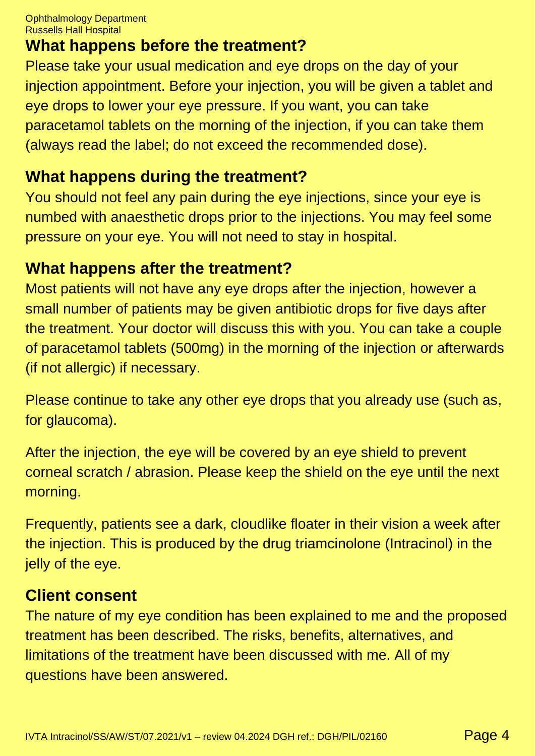Ophthalmology Department Russells Hall Hospital

#### **What happens before the treatment?**

Please take your usual medication and eye drops on the day of your injection appointment. Before your injection, you will be given a tablet and eye drops to lower your eye pressure. If you want, you can take paracetamol tablets on the morning of the injection, if you can take them (always read the label; do not exceed the recommended dose).

#### **What happens during the treatment?**

You should not feel any pain during the eye injections, since your eye is numbed with anaesthetic drops prior to the injections. You may feel some pressure on your eye. You will not need to stay in hospital.

#### **What happens after the treatment?**

Most patients will not have any eye drops after the injection, however a small number of patients may be given antibiotic drops for five days after the treatment. Your doctor will discuss this with you. You can take a couple of paracetamol tablets (500mg) in the morning of the injection or afterwards (if not allergic) if necessary.

Please continue to take any other eye drops that you already use (such as, for glaucoma).

After the injection, the eye will be covered by an eye shield to prevent corneal scratch / abrasion. Please keep the shield on the eye until the next morning.

Frequently, patients see a dark, cloudlike floater in their vision a week after the injection. This is produced by the drug triamcinolone (Intracinol) in the jelly of the eye.

#### **Client consent**

The nature of my eye condition has been explained to me and the proposed treatment has been described. The risks, benefits, alternatives, and limitations of the treatment have been discussed with me. All of my questions have been answered.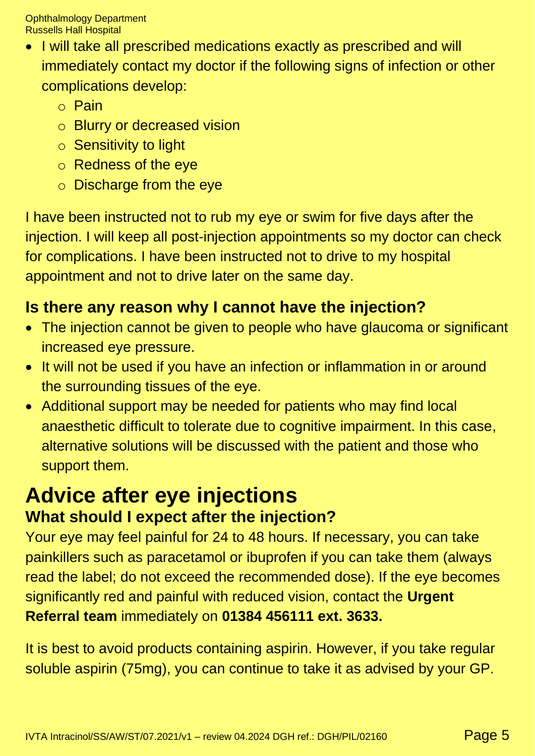Ophthalmology Department Russells Hall Hospital

- I will take all prescribed medications exactly as prescribed and will immediately contact my doctor if the following signs of infection or other complications develop:
	- o Pain
	- o Blurry or decreased vision
	- o Sensitivity to light
	- o Redness of the eye
	- o Discharge from the eye

I have been instructed not to rub my eye or swim for five days after the injection. I will keep all post-injection appointments so my doctor can check for complications. I have been instructed not to drive to my hospital appointment and not to drive later on the same day.

#### **Is there any reason why I cannot have the injection?**

- The injection cannot be given to people who have glaucoma or significant increased eye pressure.
- It will not be used if you have an infection or inflammation in or around the surrounding tissues of the eye.
- Additional support may be needed for patients who may find local anaesthetic difficult to tolerate due to cognitive impairment. In this case, alternative solutions will be discussed with the patient and those who support them.

# **Advice after eye injections What should I expect after the injection?**

Your eye may feel painful for 24 to 48 hours. If necessary, you can take painkillers such as paracetamol or ibuprofen if you can take them (always read the label; do not exceed the recommended dose). If the eye becomes significantly red and painful with reduced vision, contact the **Urgent Referral team** immediately on **01384 456111 ext. 3633.**

It is best to avoid products containing aspirin. However, if you take regular soluble aspirin (75mg), you can continue to take it as advised by your GP.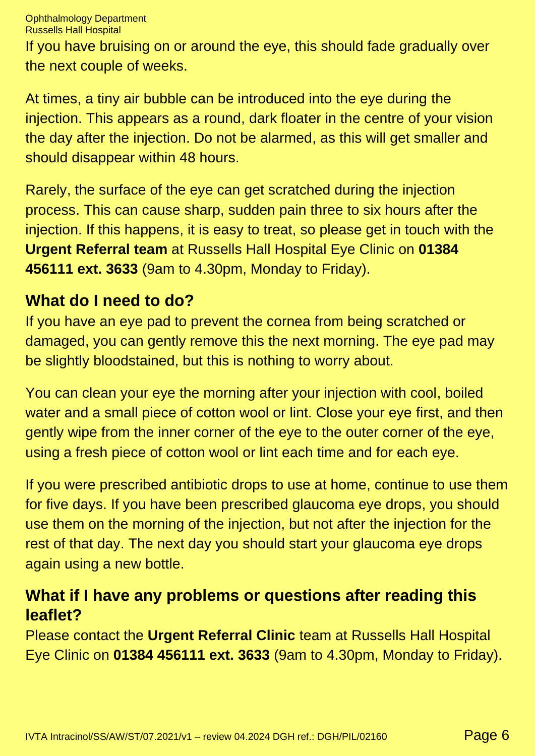Ophthalmology Department Russells Hall Hospital

If you have bruising on or around the eye, this should fade gradually over the next couple of weeks.

At times, a tiny air bubble can be introduced into the eye during the injection. This appears as a round, dark floater in the centre of your vision the day after the injection. Do not be alarmed, as this will get smaller and should disappear within 48 hours.

Rarely, the surface of the eye can get scratched during the injection process. This can cause sharp, sudden pain three to six hours after the injection. If this happens, it is easy to treat, so please get in touch with the **Urgent Referral team** at Russells Hall Hospital Eye Clinic on **01384 456111 ext. 3633** (9am to 4.30pm, Monday to Friday).

#### **What do I need to do?**

If you have an eye pad to prevent the cornea from being scratched or damaged, you can gently remove this the next morning. The eye pad may be slightly bloodstained, but this is nothing to worry about.

You can clean your eye the morning after your injection with cool, boiled water and a small piece of cotton wool or lint. Close your eye first, and then gently wipe from the inner corner of the eye to the outer corner of the eye, using a fresh piece of cotton wool or lint each time and for each eye.

If you were prescribed antibiotic drops to use at home, continue to use them for five days. If you have been prescribed glaucoma eye drops, you should use them on the morning of the injection, but not after the injection for the rest of that day. The next day you should start your glaucoma eye drops again using a new bottle.

#### **What if I have any problems or questions after reading this leaflet?**

Please contact the **Urgent Referral Clinic** team at Russells Hall Hospital Eye Clinic on **01384 456111 ext. 3633** (9am to 4.30pm, Monday to Friday).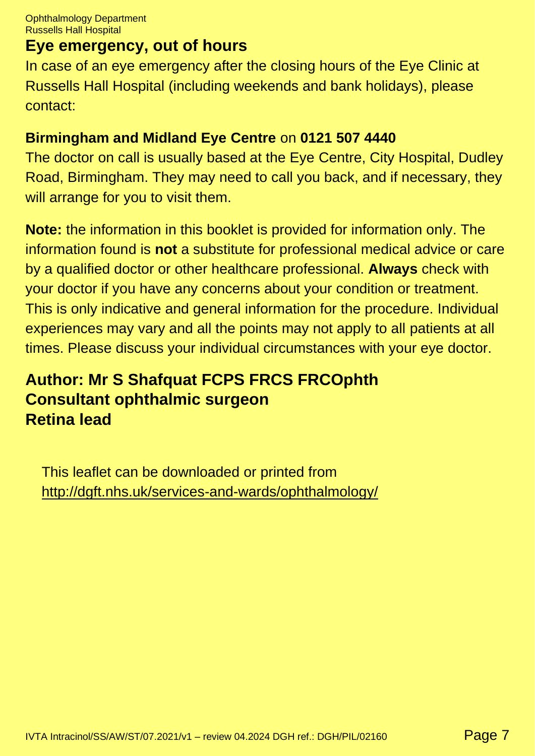#### **Eye emergency, out of hours**

In case of an eye emergency after the closing hours of the Eye Clinic at Russells Hall Hospital (including weekends and bank holidays), please contact:

#### **Birmingham and Midland Eye Centre** on **0121 507 4440**

The doctor on call is usually based at the Eye Centre, City Hospital, Dudley Road, Birmingham. They may need to call you back, and if necessary, they will arrange for you to visit them.

**Note:** the information in this booklet is provided for information only. The information found is **not** a substitute for professional medical advice or care by a qualified doctor or other healthcare professional. **Always** check with your doctor if you have any concerns about your condition or treatment. This is only indicative and general information for the procedure. Individual experiences may vary and all the points may not apply to all patients at all times. Please discuss your individual circumstances with your eye doctor.

#### **Author: Mr S Shafquat FCPS FRCS FRCOphth Consultant ophthalmic surgeon Retina lead**

This leaflet can be downloaded or printed from <http://dgft.nhs.uk/services-and-wards/ophthalmology/>